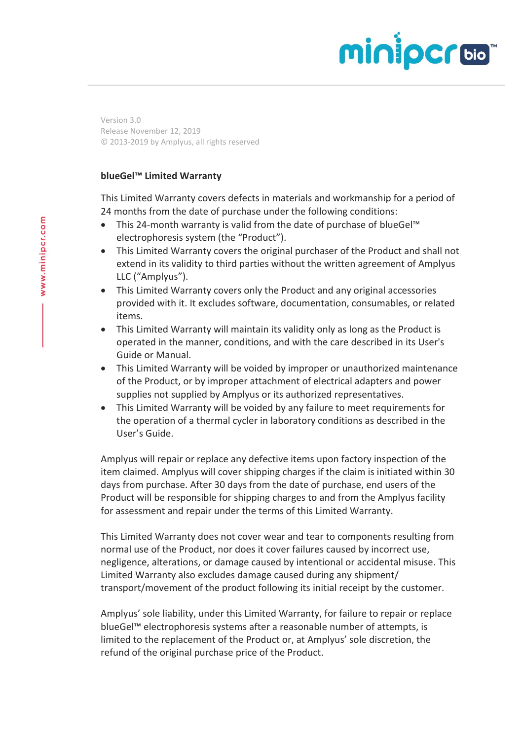## minipcroom

Version 3.0 Release November 12, 2019 © 2013-2019 by Amplyus, all rights reserved

## **blueGel™ Limited Warranty**

This Limited Warranty covers defects in materials and workmanship for a period of 24 months from the date of purchase under the following conditions:

- This 24-month warranty is valid from the date of purchase of blueGel™ electrophoresis system (the "Product").
- This Limited Warranty covers the original purchaser of the Product and shall not extend in its validity to third parties without the written agreement of Amplyus LLC ("Amplyus").
- This Limited Warranty covers only the Product and any original accessories provided with it. It excludes software, documentation, consumables, or related items.
- This Limited Warranty will maintain its validity only as long as the Product is operated in the manner, conditions, and with the care described in its User's Guide or Manual.
- This Limited Warranty will be voided by improper or unauthorized maintenance of the Product, or by improper attachment of electrical adapters and power supplies not supplied by Amplyus or its authorized representatives.
- This Limited Warranty will be voided by any failure to meet requirements for the operation of a thermal cycler in laboratory conditions as described in the User's Guide.

Amplyus will repair or replace any defective items upon factory inspection of the item claimed. Amplyus will cover shipping charges if the claim is initiated within 30 days from purchase. After 30 days from the date of purchase, end users of the Product will be responsible for shipping charges to and from the Amplyus facility for assessment and repair under the terms of this Limited Warranty.

This Limited Warranty does not cover wear and tear to components resulting from normal use of the Product, nor does it cover failures caused by incorrect use, negligence, alterations, or damage caused by intentional or accidental misuse. This Limited Warranty also excludes damage caused during any shipment/ transport/movement of the product following its initial receipt by the customer.

Amplyus' sole liability, under this Limited Warranty, for failure to repair or replace blueGel™ electrophoresis systems after a reasonable number of attempts, is limited to the replacement of the Product or, at Amplyus' sole discretion, the refund of the original purchase price of the Product.